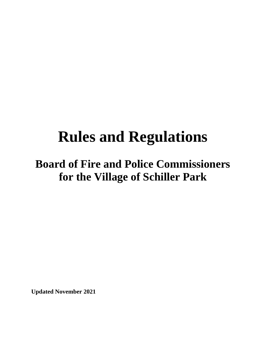# **Rules and Regulations**

## **Board of Fire and Police Commissioners for the Village of Schiller Park**

**Updated November 2021**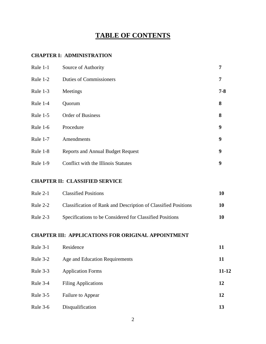## **TABLE OF CONTENTS**

#### **CHAPTER I: ADMINISTRATION**

| Rule 1-1   | Source of Authority                                                   | 7         |
|------------|-----------------------------------------------------------------------|-----------|
| Rule 1-2   | <b>Duties of Commissioners</b>                                        | 7         |
| Rule 1-3   | Meetings                                                              | $7 - 8$   |
| Rule 1-4   | Quorum                                                                | 8         |
| Rule $1-5$ | Order of Business                                                     | 8         |
| Rule 1-6   | Procedure                                                             | 9         |
| Rule 1-7   | Amendments                                                            | 9         |
| Rule 1-8   | <b>Reports and Annual Budget Request</b>                              | 9         |
| Rule 1-9   | Conflict with the Illinois Statutes                                   | 9         |
|            | <b>CHAPTER II: CLASSIFIED SERVICE</b>                                 |           |
| Rule 2-1   | <b>Classified Positions</b>                                           | 10        |
| Rule 2-2   | <b>Classification of Rank and Description of Classified Positions</b> | 10        |
| Rule 2-3   | Specifications to be Considered for Classified Positions              | 10        |
|            | <b>CHAPTER III: APPLICATIONS FOR ORIGINAL APPOINTMENT</b>             |           |
| Rule $3-1$ | Residence                                                             | 11        |
|            | Rule 3-2 Age and Education Requirements                               | 11        |
| Rule 3-3   | <b>Application Forms</b>                                              | $11 - 12$ |
| Rule 3-4   | <b>Filing Applications</b>                                            | 12        |
| Rule 3-5   | Failure to Appear                                                     | 12        |
| Rule 3-6   | Disqualification                                                      | 13        |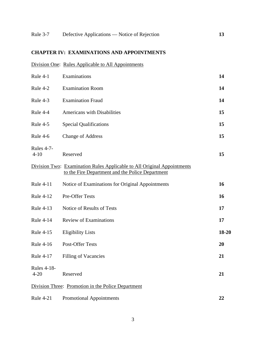#### **CHAPTER IV: EXAMINATIONS AND APPOINTMENTS**

#### Division One: Rules Applicable to All Appointments

| Rule 4-1                       | Examinations                                                                                                                | 14    |
|--------------------------------|-----------------------------------------------------------------------------------------------------------------------------|-------|
| Rule 4-2                       | <b>Examination Room</b>                                                                                                     | 14    |
| Rule 4-3                       | <b>Examination Fraud</b>                                                                                                    | 14    |
| Rule 4-4                       | <b>Americans with Disabilities</b>                                                                                          | 15    |
| Rule 4-5                       | <b>Special Qualifications</b>                                                                                               | 15    |
| Rule 4-6                       | <b>Change of Address</b>                                                                                                    | 15    |
| Rules 4-7-<br>$4 - 10$         | Reserved                                                                                                                    | 15    |
|                                | Division Two: Examination Rules Applicable to All Original Appointments<br>to the Fire Department and the Police Department |       |
| <b>Rule 4-11</b>               | Notice of Examinations for Original Appointments                                                                            | 16    |
| <b>Rule 4-12</b>               | Pre-Offer Tests                                                                                                             | 16    |
| <b>Rule 4-13</b>               | Notice of Results of Tests                                                                                                  | 17    |
| <b>Rule 4-14</b>               | <b>Review of Examinations</b>                                                                                               | 17    |
| <b>Rule 4-15</b>               | <b>Eligibility Lists</b>                                                                                                    | 18-20 |
| <b>Rule 4-16</b>               | <b>Post-Offer Tests</b>                                                                                                     | 20    |
| <b>Rule 4-17</b>               | <b>Filling of Vacancies</b>                                                                                                 | 21    |
| <b>Rules 4-18-</b><br>$4 - 20$ | Reserved                                                                                                                    | 21    |
|                                | Division Three: Promotion in the Police Department                                                                          |       |
| <b>Rule 4-21</b>               | <b>Promotional Appointments</b>                                                                                             | 22    |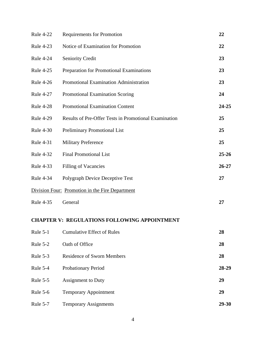| <b>Rule 4-22</b> | <b>Requirements for Promotion</b>                     | 22        |
|------------------|-------------------------------------------------------|-----------|
| <b>Rule 4-23</b> | Notice of Examination for Promotion                   | 22        |
| <b>Rule 4-24</b> | <b>Seniority Credit</b>                               | 23        |
| <b>Rule 4-25</b> | Preparation for Promotional Examinations              | 23        |
| <b>Rule 4-26</b> | Promotional Examination Administration                | 23        |
| <b>Rule 4-27</b> | <b>Promotional Examination Scoring</b>                | 24        |
| <b>Rule 4-28</b> | <b>Promotional Examination Content</b>                | 24-25     |
| <b>Rule 4-29</b> | Results of Pre-Offer Tests in Promotional Examination | 25        |
| <b>Rule 4-30</b> | Preliminary Promotional List                          | 25        |
| <b>Rule 4-31</b> | <b>Military Preference</b>                            | 25        |
| <b>Rule 4-32</b> | <b>Final Promotional List</b>                         | $25 - 26$ |
| <b>Rule 4-33</b> | <b>Filling of Vacancies</b>                           | $26 - 27$ |
| <b>Rule 4-34</b> | Polygraph Device Deceptive Test                       | 27        |
|                  | Division Four: Promotion in the Fire Department       |           |
| <b>Rule 4-35</b> | General                                               | 27        |
|                  | <b>CHAPTER V: REGULATIONS FOLLOWING APPOINTMENT</b>   |           |
| Rule $5-1$       | <b>Cumulative Effect of Rules</b>                     | 28        |
| Rule 5-2         | Oath of Office                                        | 28        |
| Rule 5-3         | <b>Residence of Sworn Members</b>                     | 28        |
| Rule 5-4         | Probationary Period                                   | 28-29     |
| Rule 5-5         | <b>Assignment to Duty</b>                             | 29        |
| Rule 5-6         | <b>Temporary Appointment</b>                          | 29        |
| Rule 5-7         | <b>Temporary Assignments</b>                          | 29-30     |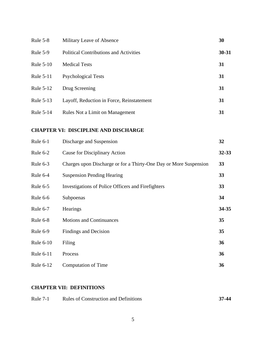| Rule $5-8$       | Military Leave of Absence                     | 30        |
|------------------|-----------------------------------------------|-----------|
| Rule 5-9         | <b>Political Contributions and Activities</b> | $30 - 31$ |
| <b>Rule 5-10</b> | <b>Medical Tests</b>                          | 31        |
| <b>Rule 5-11</b> | <b>Psychological Tests</b>                    | 31        |
| <b>Rule 5-12</b> | Drug Screening                                | 31        |
| <b>Rule 5-13</b> | Layoff, Reduction in Force, Reinstatement     | 31        |
| <b>Rule 5-14</b> | Rules Not a Limit on Management               | 31        |

#### **CHAPTER VI: DISCIPLINE AND DISCHARGE**

| Rule $6-1$       | Discharge and Suspension                                          | 32    |
|------------------|-------------------------------------------------------------------|-------|
| Rule $6-2$       | <b>Cause for Disciplinary Action</b>                              | 32-33 |
| Rule $6-3$       | Charges upon Discharge or for a Thirty-One Day or More Suspension | 33    |
| Rule 6-4         | <b>Suspension Pending Hearing</b>                                 | 33    |
| Rule $6-5$       | Investigations of Police Officers and Firefighters                | 33    |
| Rule 6-6         | Subpoenas                                                         | 34    |
| Rule 6-7         | Hearings                                                          | 34-35 |
| Rule 6-8         | <b>Motions and Continuances</b>                                   | 35    |
| Rule 6-9         | Findings and Decision                                             | 35    |
| <b>Rule 6-10</b> | Filing                                                            | 36    |
| <b>Rule 6-11</b> | Process                                                           | 36    |
| <b>Rule 6-12</b> | Computation of Time                                               | 36    |

#### **CHAPTER VII: DEFINITIONS**

| Rule $7-1$ | Rules of Construction and Definitions | $37 - 44$ |
|------------|---------------------------------------|-----------|
|            |                                       |           |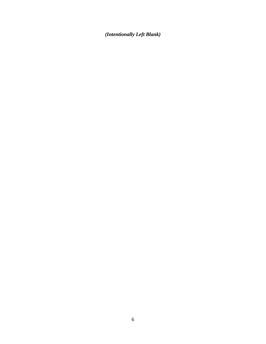*(Intentionally Left Blank)*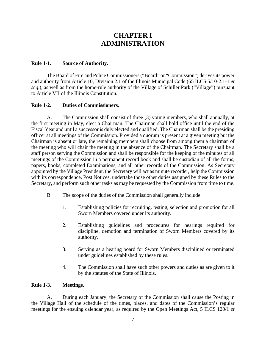## **CHAPTER I ADMINISTRATION**

#### **Rule 1-1. Source of Authority.**

The Board of Fire and Police Commissioners ("Board" or "Commission") derives its power and authority from Article 10, Division 2.1 of the Illinois Municipal Code (65 ILCS 5/10-2.1-1 *et seq*.), as well as from the home-rule authority of the Village of Schiller Park ("Village") pursuant to Article VII of the Illinois Constitution.

#### **Rule 1-2. Duties of Commissioners.**

A. The Commission shall consist of three (3) voting members, who shall annually, at the first meeting in May, elect a Chairman. The Chairman shall hold office until the end of the Fiscal Year and until a successor is duly elected and qualified. The Chairman shall be the presiding officer at all meetings of the Commission. Provided a quorum is present at a given meeting but the Chairman is absent or late, the remaining members shall choose from among them a chairman of the meeting who will chair the meeting in the absence of the Chairman. The Secretary shall be a staff person serving the Commission and shall be responsible for the keeping of the minutes of all meetings of the Commission in a permanent record book and shall be custodian of all the forms, papers, books, completed Examinations, and all other records of the Commission. As Secretary appointed by the Village President, the Secretary will act as minute recorder, help the Commission with its correspondence, Post Notices, undertake those other duties assigned by these Rules to the Secretary, and perform such other tasks as may be requested by the Commission from time to time.

- B. The scope of the duties of the Commission shall generally include:
	- 1. Establishing policies for recruiting, testing, selection and promotion for all Sworn Members covered under its authority.
	- 2. Establishing guidelines and procedures for hearings required for discipline, demotion and termination of Sworn Members covered by its authority.
	- 3. Serving as a hearing board for Sworn Members disciplined or terminated under guidelines established by these rules.
	- 4. The Commission shall have such other powers and duties as are given to it by the statutes of the State of Illinois.

#### **Rule 1-3. Meetings.**

A. During each January, the Secretary of the Commission shall cause the Posting in the Village Hall of the schedule of the times, places, and dates of the Commission's regular meetings for the ensuing calendar year, as required by the Open Meetings Act, 5 ILCS 120/1 *et*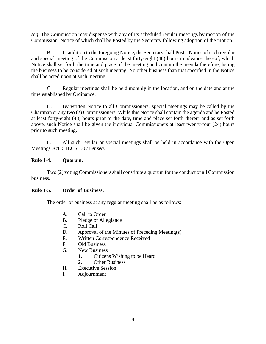*seq*. The Commission may dispense with any of its scheduled regular meetings by motion of the Commission, Notice of which shall be Posted by the Secretary following adoption of the motion.

B. In addition to the foregoing Notice, the Secretary shall Post a Notice of each regular and special meeting of the Commission at least forty-eight (48) hours in advance thereof, which Notice shall set forth the time and place of the meeting and contain the agenda therefore, listing the business to be considered at such meeting. No other business than that specified in the Notice shall be acted upon at such meeting.

C. Regular meetings shall be held monthly in the location, and on the date and at the time established by Ordinance.

D. By written Notice to all Commissioners, special meetings may be called by the Chairman or any two (2) Commissioners. While this Notice shall contain the agenda and be Posted at least forty-eight (48) hours prior to the date, time and place set forth therein and as set forth above, such Notice shall be given the individual Commissioners at least twenty-four (24) hours prior to such meeting.

E. All such regular or special meetings shall be held in accordance with the Open Meetings Act, 5 ILCS 120/1 *et seq*.

#### **Rule 1-4. Quorum.**

Two (2) voting Commissioners shall constitute a quorum for the conduct of all Commission business.

#### **Rule 1-5. Order of Business.**

The order of business at any regular meeting shall be as follows:

- A. Call to Order
- B. Pledge of Allegiance
- C. Roll Call
- D. Approval of the Minutes of Preceding Meeting(s)
- E. Written Correspondence Received
- F. Old Business
- G. New Business
	- 1. Citizens Wishing to be Heard
	- 2. Other Business
- H. Executive Session
- I. Adjournment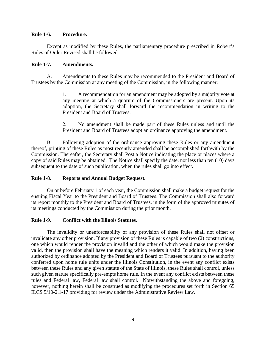#### **Rule 1-6. Procedure.**

Except as modified by these Rules, the parliamentary procedure prescribed in Robert's Rules of Order Revised shall be followed.

#### **Rule 1-7. Amendments.**

A. Amendments to these Rules may be recommended to the President and Board of Trustees by the Commission at any meeting of the Commission, in the following manner:

> 1. A recommendation for an amendment may be adopted by a majority vote at any meeting at which a quorum of the Commissioners are present. Upon its adoption, the Secretary shall forward the recommendation in writing to the President and Board of Trustees.

> 2. No amendment shall be made part of these Rules unless and until the President and Board of Trustees adopt an ordinance approving the amendment.

B. Following adoption of the ordinance approving these Rules or any amendment thereof, printing of these Rules as most recently amended shall be accomplished forthwith by the Commission. Thereafter, the Secretary shall Post a Notice indicating the place or places where a copy of said Rules may be obtained. The Notice shall specify the date, not less than ten (10) days subsequent to the date of such publication, when the rules shall go into effect.

#### **Rule 1-8. Reports and Annual Budget Request.**

On or before February 1 of each year, the Commission shall make a budget request for the ensuing Fiscal Year to the President and Board of Trustees. The Commission shall also forward its report monthly to the President and Board of Trustees, in the form of the approved minutes of its meetings conducted by the Commission during the prior month.

#### **Rule 1-9. Conflict with the Illinois Statutes.**

The invalidity or unenforceability of any provision of these Rules shall not offset or invalidate any other provision. If any provision of these Rules is capable of two (2) constructions, one which would render the provision invalid and the other of which would make the provision valid, then the provision shall have the meaning which renders it valid. In addition, having been authorized by ordinance adopted by the President and Board of Trustees pursuant to the authority conferred upon home rule units under the Illinois Constitution, in the event any conflict exists between these Rules and any given statute of the State of Illinois, these Rules shall control, unless such given statute specifically pre-empts home rule. In the event any conflict exists between these rules and Federal law, Federal law shall control. Notwithstanding the above and foregoing, however, nothing herein shall be construed as modifying the procedures set forth in Section 65 ILCS 5/10-2.1-17 providing for review under the Administrative Review Law.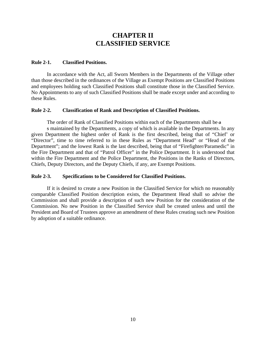## **CHAPTER II CLASSIFIED SERVICE**

#### **Rule 2-1. Classified Positions.**

In accordance with the Act, all Sworn Members in the Departments of the Village other than those described in the ordinances of the Village as Exempt Positions are Classified Positions and employees holding such Classified Positions shall constitute those in the Classified Service. No Appointments to any of such Classified Positions shall be made except under and according to these Rules.

#### **Rule 2-2. Classification of Rank and Description of Classified Positions.**

The order of Rank of Classified Positions within each of the Departments shall be a

s maintained by the Departments, a copy of which is available in the Departments. In any given Department the highest order of Rank is the first described, being that of "Chief' or "Director", time to time referred to in these Rules as "Department Head" or "Head of the Department"; and the lowest Rank is the last described, being that of "Firefighter/Paramedic" in the Fire Department and that of "Patrol Officer" in the Police Department. It is understood that within the Fire Department and the Police Department, the Positions in the Ranks of Directors, Chiefs, Deputy Directors, and the Deputy Chiefs, if any, are Exempt Positions.

#### **Rule 2-3. Specifications to be Considered for Classified Positions.**

If it is desired to create a new Position in the Classified Service for which no reasonably comparable Classified Position description exists, the Department Head shall so advise the Commission and shall provide a description of such new Position for the consideration of the Commission. No new Position in the Classified Service shall be created unless and until the President and Board of Trustees approve an amendment of these Rules creating such new Position by adoption of a suitable ordinance.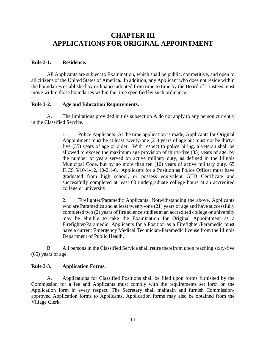## **CHAPTER III APPLICATIONS FOR ORIGINAL APPOINTMENT**

#### **Rule 3-1. Residence.**

All Applicants are subject to Examination, which shall be public, competitive, and open to all citizens of the United States of America. In addition, any Applicant who does not reside within the boundaries established by ordinance adopted from time to time by the Board of Trustees must move within those boundaries within the time specified by such ordinance.

#### **Rule 3-2. Age and Education Requirements.**

A. The limitations provided in this subsection A do not apply to any person currently in the Classified Service.

> 1. Police Applicants: At the time application is made, Applicants for Original Appointment must be at least twenty-one (21) years of age but must not be thirtyfive (35) years of age or older. With respect to police hiring, a veteran shall be allowed to exceed the maximum age provision of thirty-five (35) years of age, by the number of years served on active military duty, as defined in the Illinois Municipal Code, but by no more than ten (10) years of active military duty. 65 ILCS 5/10-1-12, 10-2.1-6. Applicants for a Position as Police Officer must have graduated from high school, or possess equivalent GED Certificate and successfully completed at least 60 undergraduate college hours at an accredited college or university.

> 2. Firefighter/Paramedic Applicants: Notwithstanding the above, Applicants who are Paramedics and at least twenty-one (21) years of age and have successfully completed two (2) years of fire science studies at an accredited college or university may be eligible to take the Examination for Original Appointment as a Firefighter/Paramedic. Applicants for a Position as a Firefighter/Paramedic must have a current Emergency Medical Technician-Paramedic license from the Illinois Department of Public Health.

B. All persons in the Classified Service shall retire therefrom upon reaching sixty-five (65) years of age.

#### **Rule 3-3. Application Forms.**

A. Applications for Classified Positions shall be filed upon forms furnished by the Commission for a fee and Applicants must comply with the requirements set forth on the Application form in every respect. The Secretary shall maintain and furnish Commissionapproved Application forms to Applicants. Application forms may also be obtained from the Village Clerk.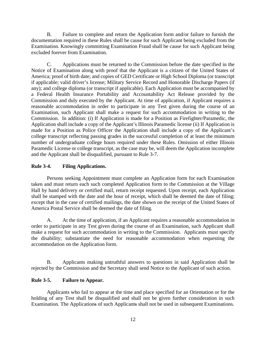B. Failure to complete and return the Application form and/or failure to furnish the documentation required in these Rules shall be cause for such Applicant being excluded from the Examination. Knowingly committing Examination Fraud shall be cause for such Applicant being excluded forever from Examination.

C. Applications must be returned to the Commission before the date specified in the Notice of Examination along with proof that the Applicant is a citizen of the United States of America; proof of birth date; and copies of GED Certificate or High School Diploma (or transcript if applicable; valid driver's license; Military Service Record and Honorable Discharge Papers (if any); and college diploma (or transcript if applicable). Each Application must be accompanied by a Federal Health Insurance Portability and Accountability Act Release provided by the Commission and duly executed by the Applicant. At time of application, if Applicant requires a reasonable accommodation in order to participate in any Test given during the course of an Examination, such Applicant shall make a request for such accommodation in writing to the Commission. In addition: (i) If Application is made for a Position as Firefighter/Paramedic, the Application shall include a copy of the Applicant's Illinois Paramedic license (ii) If Application is made for a Position as Police Officer the Application shall include a copy of the Applicant's college transcript reflecting passing grades in the successful completion of at least the minimum number of undergraduate college hours required under these Rules. Omission of either Illinois Paramedic License or college transcript, as the case may be, will deem the Application incomplete and the Applicant shall be disqualified, pursuant to Rule 3-7.

#### **Rule 3-4. Filing Applications.**

Persons seeking Appointment must complete an Application form for each Examination taken and must return each such completed Application form to the Commission at the Village Hall by hand delivery or certified mail, return receipt requested. Upon receipt, each Application shall be stamped with the date and the hour of receipt, which shall be deemed the date of filing; except that in the case of certified mailings, the date shown on the receipt of the United States of America Postal Service shall be deemed the date of filing.

A. At the time of application, if an Applicant requires a reasonable accommodation in order to participate in any Test given during the course of an Examination, such Applicant shall make a request for such accommodation in writing to the Commission. Applicants must specify the disability; substantiate the need for reasonable accommodation when requesting the accommodation on the Application form.

B. Applicants making untruthful answers to questions in said Application shall be rejected by the Commission and the Secretary shall send Notice to the Applicant of such action.

#### **Rule 3-5. Failure to Appear.**

Applicants who fail to appear at the time and place specified for an Orientation or for the holding of any Test shall be disqualified and shall not be given further consideration in such Examination. The Applications of such Applicants shall not be used in subsequent Examinations.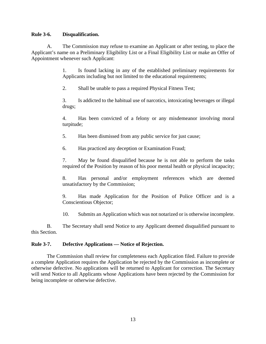#### **Rule 3-6. Disqualification.**

A. The Commission may refuse to examine an Applicant or after testing, to place the Applicant's name on a Preliminary Eligibility List or a Final Eligibility List or make an Offer of Appointment whenever such Applicant:

> 1. Is found lacking in any of the established preliminary requirements for Applicants including but not limited to the educational requirements;

2. Shall be unable to pass a required Physical Fitness Test;

3. Is addicted to the habitual use of narcotics, intoxicating beverages or illegal drugs;

4. Has been convicted of a felony or any misdemeanor involving moral turpitude;

5. Has been dismissed from any public service for just cause;

6. Has practiced any deception or Examination Fraud;

7. May be found disqualified because he is not able to perform the tasks required of the Position by reason of his poor mental health or physical incapacity;

8. Has personal and/or employment references which are deemed unsatisfactory by the Commission;

9. Has made Application for the Position of Police Officer and is a Conscientious Objector;

10. Submits an Application which was not notarized or is otherwise incomplete.

B. The Secretary shall send Notice to any Applicant deemed disqualified pursuant to this Section.

#### **Rule 3-7. Defective Applications — Notice of Rejection.**

The Commission shall review for completeness each Application filed. Failure to provide a complete Application requires the Application be rejected by the Commission as incomplete or otherwise defective. No applications will be returned to Applicant for correction. The Secretary will send Notice to all Applicants whose Applications have been rejected by the Commission for being incomplete or otherwise defective.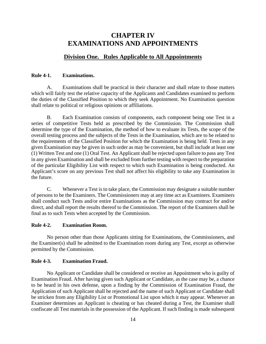## **CHAPTER IV EXAMINATIONS AND APPOINTMENTS**

#### **Division One. Rules Applicable to All Appointments**

#### **Rule 4-1. Examinations.**

A. Examinations shall be practical in their character and shall relate to those matters which will fairly test the relative capacity of the Applicants and Candidates examined to perform the duties of the Classified Position to which they seek Appointment. No Examination question shall relate to political or religious opinions or affiliations.

B. Each Examination consists of components, each component being one Test in a series of competitive Tests held as prescribed by the Commission. The Commission shall determine the type of the Examination, the method of how to evaluate its Tests, the scope of the overall testing process and the subjects of the Tests in the Examination, which are to be related to the requirements of the Classified Position for which the Examination is being held. Tests in any given Examination may be given in such order as may be convenient, but shall include at least one (1) Written Test and one (1) Oral Test. An Applicant shall be rejected upon failure to pass any Test in any given Examination and shall be excluded from further testing with respect to the preparation of the particular Eligibility List with respect to which such Examination is being conducted. An Applicant's score on any previous Test shall not affect his eligibility to take any Examination in the future.

C. Whenever a Test is to take place, the Commission may designate a suitable number of persons to be the Examiners. The Commissioners may at any time act as Examiners. Examiners shall conduct such Tests and/or entire Examinations as the Commission may contract for and/or direct, and shall report the results thereof to the Commission. The report of the Examiners shall be final as to such Tests when accepted by the Commission.

#### **Rule 4-2. Examination Room.**

No person other than those Applicants sitting for Examinations, the Commissioners, and the Examiner(s) shall be admitted to the Examination room during any Test, except as otherwise permitted by the Commission.

#### **Rule 4-3. Examination Fraud.**

No Applicant or Candidate shall be considered or receive an Appointment who is guilty of Examination Fraud. After having given such Applicant or Candidate, as the case may be, a chance to be heard in his own defense, upon a finding by the Commission of Examination Fraud, the Application of such Applicant shall be rejected and the name of such Applicant or Candidate shall be stricken from any Eligibility List or Promotional List upon which it may appear. Whenever an Examiner determines an Applicant is cheating or has cheated during a Test, the Examiner shall confiscate all Test materials in the possession of the Applicant. If such finding is made subsequent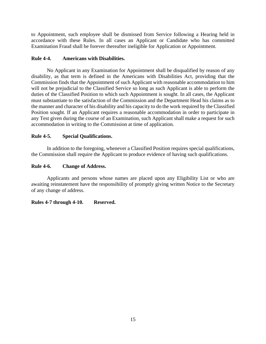to Appointment, such employee shall be dismissed from Service following a Hearing held in accordance with these Rules. In all cases an Applicant or Candidate who has committed Examination Fraud shall be forever thereafter ineligible for Application or Appointment.

#### **Rule 4-4. Americans with Disabilities.**

No Applicant in any Examination for Appointment shall be disqualified by reason of any disability, as that term is defined in the Americans with Disabilities Act, providing that the Commission finds that the Appointment of such Applicant with reasonable accommodation to him will not be prejudicial to the Classified Service so long as such Applicant is able to perform the duties of the Classified Position to which such Appointment is sought. In all cases, the Applicant must substantiate to the satisfaction of the Commission and the Department Head his claims as to the manner and character of his disability and his capacity to do the work required by the Classified Position sought. If an Applicant requires a reasonable accommodation in order to participate in any Test given during the course of an Examination, such Applicant shall make a request for such accommodation in writing to the Commission at time of application.

#### **Rule 4-5. Special Qualifications.**

In addition to the foregoing, whenever a Classified Position requires special qualifications, the Commission shall require the Applicant to produce evidence of having such qualifications.

#### **Rule 4-6. Change of Address.**

Applicants and persons whose names are placed upon any Eligibility List or who are awaiting reinstatement have the responsibility of promptly giving written Notice to the Secretary of any change of address.

#### **Rules 4-7 through 4-10. Reserved.**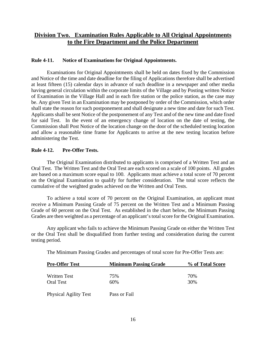#### **Division Two. Examination Rules Applicable to All Original Appointments to the Fire Department and the Police Department**

#### **Rule 4-11. Notice of Examinations for Original Appointments.**

Examinations for Original Appointments shall be held on dates fixed by the Commission and Notice of the time and date deadline for the filing of Applications therefore shall be advertised at least fifteen (15) calendar days in advance of such deadline in a newspaper and other media having general circulation within the corporate limits of the Village and by Posting written Notice of Examination in the Village Hall and in each fire station or the police station, as the case may be. Any given Test in an Examination may be postponed by order of the Commission, which order shall state the reason for such postponement and shall designate a new time and date for such Test. Applicants shall be sent Notice of the postponement of any Test and of the new time and date fixed for said Test. In the event of an emergency change of location on the date of testing, the Commission shall Post Notice of the location change on the door of the scheduled testing location and allow a reasonable time frame for Applicants to arrive at the new testing location before administering the Test.

#### **Rule 4-12. Pre-Offer Tests.**

The Original Examination distributed to applicants is comprised of a Written Test and an Oral Test. The Written Test and the Oral Test are each scored on a scale of 100 points. All grades are based on a maximum score equal to 100. Applicants must achieve a total score of 70 percent on the Original Examination to qualify for further consideration. The total score reflects the cumulative of the weighted grades achieved on the Written and Oral Tests.

To achieve a total score of 70 percent on the Original Examination, an applicant must receive a Minimum Passing Grade of 75 percent on the Written Test and a Minimum Passing Grade of 60 percent on the Oral Test. As established in the chart below, the Minimum Passing Grades are then weighted as a percentage of an applicant's total score for the Original Examination.

Any applicant who fails to achieve the Minimum Passing Grade on either the Written Test or the Oral Test shall be disqualified from further testing and consideration during the current testing period.

The Minimum Passing Grades and percentages of total score for Pre-Offer Tests are:

| <b>Pre-Offer Test</b>        | <b>Minimum Passing Grade</b> | % of Total Score |  |
|------------------------------|------------------------------|------------------|--|
| <b>Written Test</b>          | 75%                          | 70%              |  |
| <b>Oral Test</b>             | 60%                          | 30%              |  |
| <b>Physical Agility Test</b> | Pass or Fail                 |                  |  |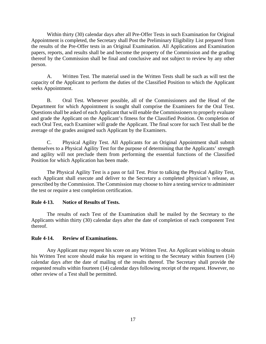Within thirty (30) calendar days after all Pre-Offer Tests in such Examination for Original Appointment is completed, the Secretary shall Post the Preliminary Eligibility List prepared from the results of the Pre-Offer tests in an Original Examination. All Applications and Examination papers, reports, and results shall be and become the property of the Commission and the grading thereof by the Commission shall be final and conclusive and not subject to review by any other person.

A. Written Test. The material used in the Written Tests shall be such as will test the capacity of the Applicant to perform the duties of the Classified Position to which the Applicant seeks Appointment.

B. Oral Test. Whenever possible, all of the Commissioners and the Head of the Department for which Appointment is sought shall comprise the Examiners for the Oral Test. Questions shall be asked of each Applicant that will enable the Commissioners to properly evaluate and grade the Applicant on the Applicant's fitness for the Classified Position. On completion of each Oral Test, each Examiner will grade the Applicant. The final score for such Test shall be the average of the grades assigned such Applicant by the Examiners.

C. Physical Agility Test. All Applicants for an Original Appointment shall submit themselves to a Physical Agility Test for the purpose of determining that the Applicants' strength and agility will not preclude them from performing the essential functions of the Classified Position for which Application has been made.

The Physical Agility Test is a pass or fail Test. Prior to talking the Physical Agility Test, each Applicant shall execute and deliver to the Secretary a completed physician's release, as prescribed by the Commission. The Commission may choose to hire a testing service to administer the test or require a test completion certification.

#### **Rule 4-13. Notice of Results of Tests.**

The results of each Test of the Examination shall be mailed by the Secretary to the Applicants within thirty (30) calendar days after the date of completion of each component Test thereof.

#### **Rule 4-14. Review of Examinations.**

Any Applicant may request his score on any Written Test. An Applicant wishing to obtain his Written Test score should make his request in writing to the Secretary within fourteen (14) calendar days after the date of mailing of the results thereof. The Secretary shall provide the requested results within fourteen (14) calendar days following receipt of the request. However, no other review of a Test shall be permitted.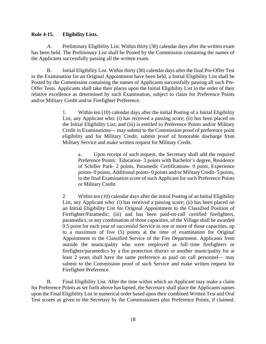#### **Rule 4-15. Eligibility Lists.**

A. Preliminary Eligibility List. Within thirty (30) calendar days after the written exam has been held. The Preliminary List shall be Posted by the Commission containing the names of the Applicants successfully passing all the written exam.

B. Initial Eligibility List. Within thirty (30) calendar days after the final Pre-Offer Test in the Examination for an Original Appointment have been held, a Initial Eligibility List shall be Posted by the Commission containing the names of Applicants successfully passing all such Pre-Offer Tests. Applicants shall take their places upon the Initial Eligibility List in the order of their relative excellence as determined by such Examination, subject to claim for Preference Points and/or Military Credit and/or Firefighter Preference.

> 1. Within ten (10) calendar days after the initial Posting of a Initial Eligibility List, any Applicant who: (i) has received a passing score; (ii) has been placed on the Initial Eligibility List; and (iii) is entitled to Preference Points and/or Military Credit in Examinations— may submit to the Commission proof of preference point eligibility and for Military Credit, submit proof of honorable discharge from Military Service and make written request for Military Credit.

a. Upon receipt of such request, the Secretary shall add the required Preference Points: Education- 3 points with Bachelor's degree, Residence of Schiller Park- 2 points, Paramedic Certifications- 0 point, Experience points- 0 points, Additional points- 0 points and/or Military Credit- 5 points, to the final Examination score of such Applicant for such Preference Points or Military Credit.

2. Within ten (10) calendar days after the initial Posting of an Initial Eligibility List, any Applicant who: (i) has received a passing score; (ii) has been placed on an Initial Eligibility List for Original Appointment to the Classified Position of Firefighter/Paramedic; (iii) and has been paid-on-call certified firefighters, paramedics, or any combination of those capacities, of the Village shall be awarded 0.5 point for each year of successful Service in one or more of those capacities, up to a maximum of five (5) points at the time of examination for Original Appointment to the Classified Service of the Fire Department. Applicants from outside the municipality who were employed as full‑time firefighters or firefighter/paramedics by a fire protection district or another municipality for at least 2 years shall have the same preference as paid‑on‑call personnel— may submit to the Commission proof of such Service and make written request for Firefighter Preference.

B. Final Eligibility List. After the time within which an Applicant may make a claim for Preference Points as set forth above has lapsed, the Secretary shall place the Applicants names upon the Final Eligibility List in numerical order based upon their combined Written Test and Oral Test scores as given to the Secretary by the Commissioners plus Preference Points, if claimed.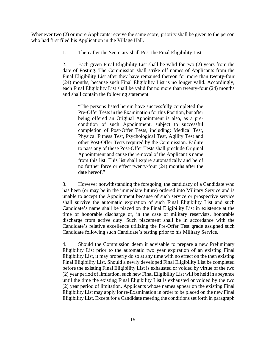Whenever two (2) or more Applicants receive the same score, priority shall be given to the person who had first filed his Application in the Village Hall.

1. Thereafter the Secretary shall Post the Final Eligibility List.

2. Each given Final Eligibility List shall be valid for two (2) years from the date of Posting. The Commission shall strike off names of Applicants from the Final Eligibility List after they have remained thereon for more than twenty-four (24) months, because such Final Eligibility List is no longer valid. Accordingly, each Final Eligibility List shall be valid for no more than twenty-four (24) months and shall contain the following statement:

"The persons listed herein have successfully completed the Pre-Offer Tests in the Examination for this Position, but after being offered an Original Appointment is also, as a precondition of such Appointment, subject to successful completion of Post-Offer Tests, including: Medical Test, Physical Fitness Test, Psychological Test, Agility Test and other Post-Offer Tests required by the Commission. Failure to pass any of these Post-Offer Tests shall preclude Original Appointment and cause the removal of the Applicant's name from this list. This list shall expire automatically and be of no further force or effect twenty-four (24) months after the date hereof."

3. However notwithstanding the foregoing, the candidacy of a Candidate who has been (or may be in the immediate future) ordered into Military Service and is unable to accept the Appointment because of such service or prospective service shall survive the automatic expiration of such Final Eligibility List and such Candidate's name shall be placed on the Final Eligibility List in existence at the time of honorable discharge or, in the case of military reservists, honorable discharge from active duty. Such placement shall be in accordance with the Candidate's relative excellence utilizing the Pre-Offer Test grade assigned such Candidate following such Candidate's testing prior to his Military Service.

4. Should the Commission deem it advisable to prepare a new Preliminary Eligibility List prior to the automatic two year expiration of an existing Final Eligibility List, it may properly do so at any time with no effect on the then existing Final Eligibility List. Should a newly developed Final Eligibility List be completed before the existing Final Eligibility List is exhausted or voided by virtue of the two (2) year period of limitation, such new Final Eligibility List will be held in abeyance until the time the existing Final Eligibility List is exhausted or voided by the two (2) year period of limitation. Applicants whose names appear on the existing Final Eligibility List may apply for re-Examination in order to be placed on the new Final Eligibility List. Except for a Candidate meeting the conditions set forth in paragraph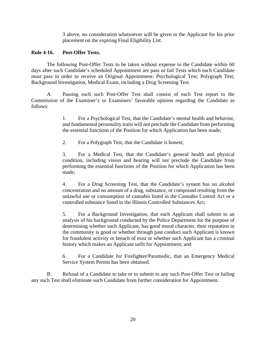3 above, no consideration whatsoever will be given to the Applicant for his prior placement on the expiring Final Eligibility List.

#### **Rule 4-16. Post-Offer Tests.**

The following Post-Offer Tests to be taken without expense to the Candidate within 60 days after such Candidate's scheduled Appointment are pass or fail Tests which each Candidate must pass in order to receive an Original Appointment: Psychological Test; Polygraph Test; Background Investigation, Medical Exam, including a Drug Screening Test.

A. Passing each such Post-Offer Test shall consist of each Test report to the Commission of the Examiner's or Examiners' favorable opinion regarding the Candidate as follows:

> 1. For a Psychological Test, that the Candidate's mental health and behavior, and fundamental personality traits will not preclude the Candidate from performing the essential functions of the Position for which Application has been made;

2. For a Polygraph Test, that the Candidate is honest;

3. For a Medical Test, that the Candidate's general health and physical condition, including vision and hearing will not preclude the Candidate from performing the essential functions of the Position for which Application has been made;

4. For a Drug Screening Test, that the Candidate's system has no alcohol concentration and no amount of a drug, substance, or compound resulting from the unlawful use or consumption of cannabis listed in the Cannabis Control Act or a controlled substance listed in the Illinois Controlled Substances Act;

5. For a Background Investigation, that each Applicant shall submit to an analysis of his background conducted by the Police Department for the purpose of determining whether such Applicant, has good moral character, their reputation in the community is good or whether through past conduct such Applicant is known for fraudulent activity or breach of trust or whether such Applicant has a criminal history which makes an Applicant unfit for Appointment; and

6. For a Candidate for Firefighter/Paramedic, that an Emergency Medical Service System Permit has been obtained.

B. Refusal of a Candidate to take or to submit to any such Post-Offer Test or failing any such Test shall eliminate such Candidate from further consideration for Appointment.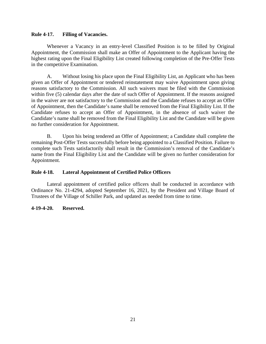#### **Rule 4-17. Filling of Vacancies.**

Whenever a Vacancy in an entry-level Classified Position is to be filled by Original Appointment, the Commission shall make an Offer of Appointment to the Applicant having the highest rating upon the Final Eligibility List created following completion of the Pre-Offer Tests in the competitive Examination.

A. Without losing his place upon the Final Eligibility List, an Applicant who has been given an Offer of Appointment or tendered reinstatement may waive Appointment upon giving reasons satisfactory to the Commission. All such waivers must be filed with the Commission within five (5) calendar days after the date of such Offer of Appointment. If the reasons assigned in the waiver are not satisfactory to the Commission and the Candidate refuses to accept an Offer of Appointment, then the Candidate's name shall be removed from the Final Eligibility List. If the Candidate refuses to accept an Offer of Appointment, in the absence of such waiver the Candidate's name shall be removed from the Final Eligibility List and the Candidate will be given no further consideration for Appointment.

B. Upon his being tendered an Offer of Appointment; a Candidate shall complete the remaining Post-Offer Tests successfully before being appointed to a Classified Position. Failure to complete such Tests satisfactorily shall result in the Commission's removal of the Candidate's name from the Final Eligibility List and the Candidate will be given no further consideration for Appointment.

#### **Rule 4-18. Lateral Appointment of Certified Police Officers**

Lateral appointment of certified police officers shall be conducted in accordance with Ordinance No. 21-4294, adopted September 16, 2021, by the President and Village Board of Trustees of the Village of Schiller Park, and updated as needed from time to time.

#### **4-19-4-20. Reserved.**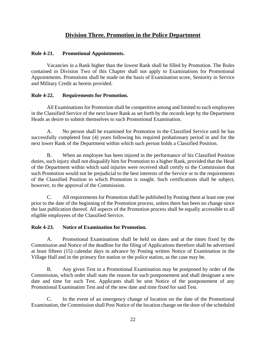#### **Division Three. Promotion in the Police Department**

#### **Rule 4-21. Promotional Appointments.**

Vacancies in a Rank higher than the lowest Rank shall be filled by Promotion. The Rules contained in Division Two of this Chapter shall not apply to Examinations for Promotional Appointments. Promotions shall be made on the basis of Examination score, Seniority in Service and Military Credit as herein provided.

#### **Rule 4-22. Requirements for Promotion.**

All Examinations for Promotion shall be competitive among and limited to such employees in the Classified Service of the next lower Rank as set forth by the records kept by the Department Heads as desire to submit themselves to such Promotional Examination.

A. No person shall be examined for Promotion in the Classified Service until he has successfully completed four (4) years following his required probationary period in and for the next lower Rank of the Department within which such person holds a Classified Position.

B. When an employee has been injured in the performance of his Classified Position duties, such injury shall not disqualify him for Promotion to a higher Rank, provided that the Head of the Department within which said injuries were received shall certify to the Commission that such Promotion would not be prejudicial to the best interests of the Service or to the requirements of the Classified Position to which Promotion is sought. Such certifications shall be subject, however, to the approval of the Commission.

C. All requirements for Promotion shall be published by Posting them at least one year prior to the date of the beginning of the Promotion process, unless there has been no change since the last publication thereof. All aspects of the Promotion process shall be equally accessible to all eligible employees of the Classified Service.

#### **Rule 4-23. Notice of Examination for Promotion.**

A. Promotional Examinations shall be held on dates and at the times fixed by the Commission and Notice of the deadline for the filing of Applications therefore shall be advertised at least fifteen (15) calendar days in advance by Posting written Notice of Examination in the Village Hall and in the primary fire station or the police station, as the case may be.

B. Any given Test in a Promotional Examination may be postponed by order of the Commission, which order shall state the reason for such postponement and shall designate a new date and time for such Test. Applicants shall be sent Notice of the postponement of any Promotional Examination Test and of the new date and time fixed for said Test.

C. In the event of an emergency change of location on the date of the Promotional Examination, the Commission shall Post Notice of the location change on the door of the scheduled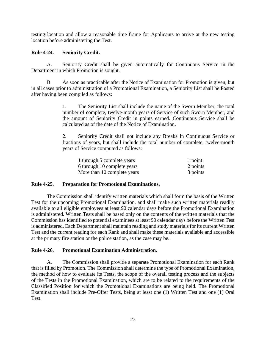testing location and allow a reasonable time frame for Applicants to arrive at the new testing location before administering the Test.

#### **Rule 4-24. Seniority Credit.**

A. Seniority Credit shall be given automatically for Continuous Service in the Department in which Promotion is sought.

B. As soon as practicable after the Notice of Examination for Promotion is given, but in all cases prior to administration of a Promotional Examination, a Seniority List shall be Posted after having been compiled as follows:

> 1. The Seniority List shall include the name of the Sworn Member, the total number of complete, twelve-month years of Service of such Sworn Member, and the amount of Seniority Credit in points earned. Continuous Service shall be calculated as of the date of the Notice of Examination.

> 2. Seniority Credit shall not include any Breaks In Continuous Service or fractions of years, but shall include the total number of complete, twelve-month years of Service computed as follows:

| 1 through 5 complete years  | 1 point  |
|-----------------------------|----------|
| 6 through 10 complete years | 2 points |
| More than 10 complete years | 3 points |

#### **Rule 4-25. Preparation for Promotional Examinations.**

The Commission shall identify written materials which shall form the basis of the Written Test for the upcoming Promotional Examination, and shall make such written materials readily available to all eligible employees at least 90 calendar days before the Promotional Examination is administered. Written Tests shall be based only on the contents of the written materials that the Commission has identified to potential examinees at least 90 calendar days before the Written Test is administered. Each Department shall maintain reading and study materials for its current Written Test and the current reading for each Rank and shall make these materials available and accessible at the primary fire station or the police station, as the case may be.

#### **Rule 4-26. Promotional Examination Administration.**

A. The Commission shall provide a separate Promotional Examination for each Rank that is filled by Promotion. The Commission shall determine the type of Promotional Examination, the method of how to evaluate its Tests, the scope of the overall testing process and the subjects of the Tests in the Promotional Examination, which are to be related to the requirements of the Classified Position for which the Promotional Examinations are being held. The Promotional Examination shall include Pre-Offer Tests, being at least one (1) Written Test and one (1) Oral Test.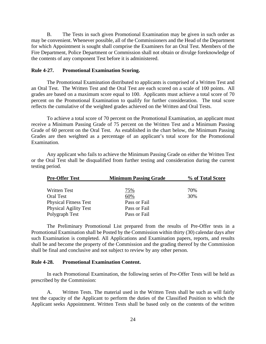B. The Tests in such given Promotional Examination may be given in such order as may be convenient. Whenever possible, all of the Commissioners and the Head of the Department for which Appointment is sought shall comprise the Examiners for an Oral Test. Members of the Fire Department, Police Department or Commission shall not obtain or divulge foreknowledge of the contents of any component Test before it is administered.

#### **Rule 4-27. Promotional Examination Scoring.**

The Promotional Examination distributed to applicants is comprised of a Written Test and an Oral Test. The Written Test and the Oral Test are each scored on a scale of 100 points. All grades are based on a maximum score equal to 100. Applicants must achieve a total score of 70 percent on the Promotional Examination to qualify for further consideration. The total score reflects the cumulative of the weighted grades achieved on the Written and Oral Tests.

To achieve a total score of 70 percent on the Promotional Examination, an applicant must receive a Minimum Passing Grade of 75 percent on the Written Test and a Minimum Passing Grade of 60 percent on the Oral Test. As established in the chart below, the Minimum Passing Grades are then weighted as a percentage of an applicant's total score for the Promotional Examination.

Any applicant who fails to achieve the Minimum Passing Grade on either the Written Test or the Oral Test shall be disqualified from further testing and consideration during the current testing period.

| <b>Pre-Offer Test</b>        | <b>Minimum Passing Grade</b> | % of Total Score |  |
|------------------------------|------------------------------|------------------|--|
| <b>Written Test</b>          | 75%                          | 70%              |  |
| Oral Test                    | 60%                          | 30%              |  |
| <b>Physical Fitness Test</b> | Pass or Fail                 |                  |  |
| <b>Physical Agility Test</b> | Pass or Fail                 |                  |  |
| Polygraph Test               | Pass or Fail                 |                  |  |

The Preliminary Promotional List prepared from the results of Pre-Offer tests in a Promotional Examination shall be Posted by the Commission within thirty (30) calendar days after such Examination is completed. All Applications and Examination papers, reports, and results shall be and become the property of the Commission and the grading thereof by the Commission shall be final and conclusive and not subject to review by any other person.

#### **Rule 4-28. Promotional Examination Content.**

In each Promotional Examination, the following series of Pre-Offer Tests will be held as prescribed by the Commission:

A. Written Tests. The material used in the Written Tests shall be such as will fairly test the capacity of the Applicant to perform the duties of the Classified Position to which the Applicant seeks Appointment. Written Tests shall be based only on the contents of the written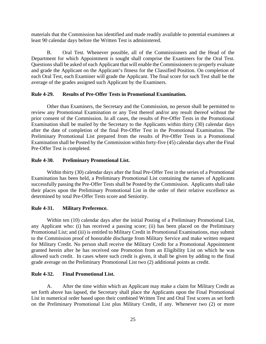materials that the Commission has identified and made readily available to potential examinees at least 90 calendar days before the Written Test is administered.

B. Oral Test. Whenever possible, all of the Commissioners and the Head of the Department for which Appointment is sought shall comprise the Examiners for the Oral Test. Questions shall be asked of each Applicant that will enable the Commissioners to properly evaluate and grade the Applicant on the Applicant's fitness for the Classified Position. On completion of each Oral Test, each Examiner will grade the Applicant. The final score for such Test shall be the average of the grades assigned such Applicant by the Examiners.

#### **Rule 4-29. Results of Pre-Offer Tests in Promotional Examination.**

Other than Examiners, the Secretary and the Commission, no person shall be permitted to review any Promotional Examination or any Test thereof and/or any result thereof without the prior consent of the Commission. In all cases, the results of Pre-Offer Tests in the Promotional Examination shall be mailed by the Secretary to the Applicants within thirty (30) calendar days after the date of completion of the final Pre-Offer Test in the Promotional Examination. The Preliminary Promotional List prepared from the results of Pre-Offer Tests in a Promotional Examination shall be Posted by the Commission within forty-five (45) calendar days after the Final Pre-Offer Test is completed.

#### **Rule 4-30. Preliminary Promotional List.**

Within thirty (30) calendar days after the final Pre-Offer Test in the series of a Promotional Examination has been held, a Preliminary Promotional List containing the names of Applicants successfully passing the Pre-Offer Tests shall be Posted by the Commission. Applicants shall take their places upon the Preliminary Promotional List in the order of their relative excellence as determined by total Pre-Offer Tests score and Seniority.

#### **Rule 4-31. Military Preference.**

Within ten (10) calendar days after the initial Posting of a Preliminary Promotional List, any Applicant who: (i) has received a passing score; (ii) has been placed on the Preliminary Promotional List; and (iii) is entitled to Military Credit in Promotional Examinations, may submit to the Commission proof of honorable discharge from Military Service and make written request for Military Credit. No person shall receive the Military Credit for a Promotional Appointment granted herein after he has received one Promotion from an Eligibility List on which he was allowed such credit. In cases where such credit is given, it shall be given by adding to the final grade average on the Preliminary Promotional List two (2) additional points as credit.

#### **Rule 4-32. Final Promotional List.**

A. After the time within which an Applicant may make a claim for Military Credit as set forth above has lapsed, the Secretary shall place the Applicants upon the Final Promotional List in numerical order based upon their combined Written Test and Oral Test scores as set forth on the Preliminary Promotional List plus Military Credit, if any. Whenever two (2) or more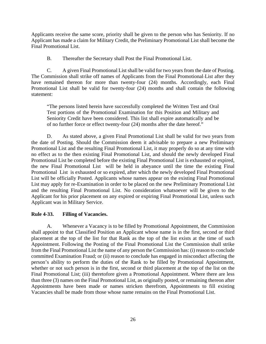Applicants receive the same score, priority shall be given to the person who has Seniority. If no Applicant has made a claim for Military Credit, the Preliminary Promotional List shall become the Final Promotional List.

B. Thereafter the Secretary shall Post the Final Promotional List.

C. A given Final Promotional List shall be valid for two years from the date of Posting. The Commission shall strike off names of Applicants from the Final Promotional-List after they have remained thereon for more than twenty-four (24) months. Accordingly, each Final Promotional List shall be valid for twenty-four (24) months and shall contain the following statement:

"The persons listed herein have successfully completed the Written Test and Oral Test portions of the Promotional Examination for this Position and Military and Seniority Credit have been considered. This list shall expire automatically and be of no further force or effect twenty-four (24) months after the date hereof."

D. As stated above, a given Final Promotional List shall be valid for two years from the date of Posting. Should the Commission deem it advisable to prepare a new Preliminary Promotional List and the resulting Final Promotional List, it may properly do so at any time with no effect as to the then existing Final Promotional List, and should the newly developed Final Promotional List be completed before the existing Final Promotional List is exhausted or expired, the new Final Promotional List will be held in abeyance until the time the existing Final Promotional List is exhausted or so expired, after which the newly developed Final Promotional List will be officially Posted. Applicants whose names appear on the existing Final Promotional List may apply for re-Examination in order to be placed on the new Preliminary Promotional List and the resulting Final Promotional List. No consideration whatsoever will be given to the Applicant for his prior placement on any expired or expiring Final Promotional List, unless such Applicant was in Military Service.

#### **Rule 4-33. Filling of Vacancies.**

A. Whenever a Vacancy is to be filled by Promotional Appointment, the Commission shall appoint to that Classified Position an Applicant whose name is in the first, second or third placement at the top of the list for that Rank as the top of the list exists at the time of such Appointment. Following the Posting of the Final Promotional List the Commission shall strike from the Final Promotional List the name of any person the Commission has: (i) reason to conclude committed Examination Fraud; or (ii) reason to conclude has engaged in misconduct affecting the person's ability to perform the duties of the Rank to be filled by Promotional Appointment, whether or not such person is in the first, second or third placement at the top of the list on the Final Promotional List; (iii) theretofore given a Promotional Appointment. Where there are less than three (3) names on the Final Promotional List, as originally posted, or remaining thereon after Appointments have been made or names stricken therefrom, Appointments to fill existing Vacancies shall be made from those whose name remains on the Final Promotional List.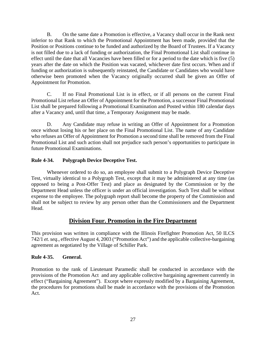B. On the same date a Promotion is effective, a Vacancy shall occur in the Rank next inferior to that Rank to which the Promotional Appointment has been made, provided that the Position or Positions continue to be funded and authorized by the Board of Trustees. If a Vacancy is not filled due to a lack of funding or authorization, the Final Promotional List shall continue in effect until the date that all Vacancies have been filled or for a period to the date which is five (5) years after the date on which the Position was vacated, whichever date first occurs. When and if funding or authorization is subsequently reinstated, the Candidate or Candidates who would have otherwise been promoted when the Vacancy originally occurred shall be given an Offer of Appointment for Promotion.

C. If no Final Promotional List is in effect, or if all persons on the current Final Promotional List refuse an Offer of Appointment for the Promotion, a successor Final Promotional List shall be prepared following a Promotional Examination and Posted within 180 calendar days after a Vacancy and, until that time, a Temporary Assignment may be made.

D. Any Candidate may refuse in writing an Offer of Appointment for a Promotion once without losing his or her place on the Final Promotional List. The name of any Candidate who refuses an Offer of Appointment for Promotion a second time shall be removed from the Final Promotional List and such action shall not prejudice such person's opportunities to participate in future Promotional Examinations.

#### **Rule 4-34. Polygraph Device Deceptive Test.**

Whenever ordered to do so, an employee shall submit to a Polygraph Device Deceptive Test, virtually identical to a Polygraph Test, except that it may be administered at any time (as opposed to being a Post-Offer Test) and place as designated by the Commission or by the Department Head unless the officer is under an official investigation. Such Test shall be without expense to the employee. The polygraph report shall become the property of the Commission and shall not be subject to review by any person other than the Commissioners and the Department Head.

#### **Division Four. Promotion in the Fire Department**

This provision was written in compliance with the Illinois Firefighter Promotion Act, 50 ILCS 742/1 *et*. *seq*., effective August 4, 2003 ("Promotion Act") and the applicable collective-bargaining agreement as negotiated by the Village of Schiller Park.

#### **Rule 4-35. General.**

Promotion to the rank of Lieutenant Paramedic shall be conducted in accordance with the provisions of the Promotion Act and any applicable collective bargaining agreement currently in effect ("Bargaining Agreement"). Except where expressly modified by a Bargaining Agreement, the procedures for promotions shall be made in accordance with the provisions of the Promotion Act.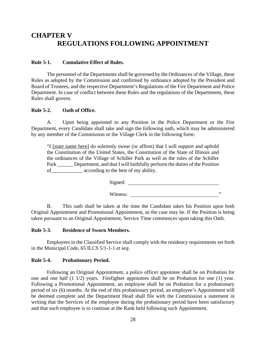## **CHAPTER V REGULATIONS FOLLOWING APPOINTMENT**

#### **Rule 5-1. Cumulative Effect of Rules.**

The personnel of the Departments shall be governed by the Ordinances of the Village, these Rules as adopted by the Commission and confirmed by ordinance adopted by the President and Board of Trustees, and the respective Department's Regulations of the Fire Department and Police Department. In case of conflict between these Rules and the regulations of the Departments, these Rules shall govern.

#### **Rule 5-2. Oath of Office.**

A. Upon being appointed to any Position in the Police Department or the Fire Department, every Candidate shall take and sign the following oath, which may be administered by any member of the Commission or the Village Clerk in the following form:

"I [state name here] do solemnly swear (or affirm) that I will support and uphold the Constitution of the United States, the Constitution of the State of Illinois and the ordinances of the Village of Schiller Park as well as the rules of the Schiller Park \_\_\_\_\_\_\_ Department, and that I will faithfully perform the duties of the Position of\_\_\_\_\_\_\_\_\_\_\_\_ according to the best of my ability.

Signed:

Witness: "

B. This oath shall be taken at the time the Candidate takes his Position upon both Original Appointment and Promotional Appointment, as the case may be. If the Position is being taken pursuant to an Original Appointment, Service Time commences upon taking this Oath.

#### **Rule 5-3. Residence of Sworn Members.**

Employees in the Classified Service shall comply with the residency requirements set forth in the Municipal Code, 65 ILCS 5/1-1-1 *et seq*.

#### **Rule 5-4. Probationary Period.**

Following an Original Appointment, a police officer appointee shall be on Probation for one and one half (1 1/2) years. Firefighter appointees shall be on Probation for one (1) year. Following a Promotional Appointment, an employee shall be on Probation for a probationary period of six (6) months. At the end of this probationary period, an employee's Appointment will be deemed complete and the Department Head shall file with the Commission a statement in writing that the Services of the employee during the probationary period have been satisfactory and that such employee is to continue at the Rank held following such Appointment.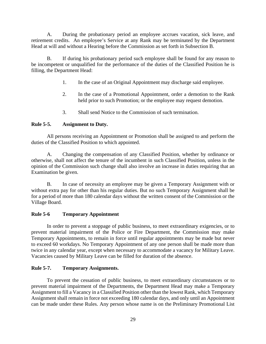A. During the probationary period an employee accrues vacation, sick leave, and retirement credits. An employee's Service at any Rank may be terminated by the Department Head at will and without a Hearing before the Commission as set forth in Subsection B.

B. If during his probationary period such employee shall be found for any reason to be incompetent or unqualified for the performance of the duties of the Classified Position he is filling, the Department Head:

- 1. In the case of an Original Appointment may discharge said employee.
- 2. In the case of a Promotional Appointment, order a demotion to the Rank held prior to such Promotion; or the employee may request demotion.
- 3. Shall send Notice to the Commission of such termination.

#### **Rule 5-5. Assignment to Duty.**

All persons receiving an Appointment or Promotion shall be assigned to and perform the duties of the Classified Position to which appointed.

A. Changing the compensation of any Classified Position, whether by ordinance or otherwise, shall not affect the tenure of the incumbent in such Classified Position, unless in the opinion of the Commission such change shall also involve an increase in duties requiring that an Examination be given.

B. In case of necessity an employee may be given a Temporary Assignment with or without extra pay for other than his regular duties. But no such Temporary Assignment shall be for a period of more than 180 calendar days without the written consent of the Commission or the Village Board.

#### **Rule 5-6 Temporary Appointment**

In order to prevent a stoppage of public business, to meet extraordinary exigencies, or to prevent material impairment of the Police or Fire Department, the Commission may make Temporary Appointments, to remain in force until regular appointments may be made but never to exceed 60 workdays. No Temporary Appointment of any one person shall be made more than twice in any calendar year, except when necessary to accommodate a vacancy for Military Leave. Vacancies caused by Military Leave can be filled for duration of the absence.

#### **Rule 5-7. Temporary Assignments.**

To prevent the cessation of public business, to meet extraordinary circumstances or to prevent material impairment of the Departments, the Department Head may make a Temporary Assignment to fill a Vacancy in a Classified Position other than the lowest Rank, which Temporary Assignment shall remain in force not exceeding 180 calendar days, and only until an Appointment can be made under these Rules. Any person whose name is on the Preliminary Promotional List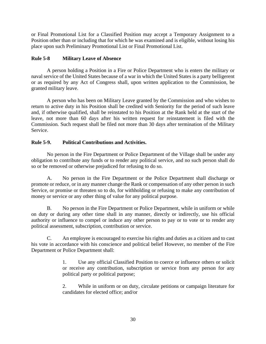or Final Promotional List for a Classified Position may accept a Temporary Assignment to a Position other than or including that for which he was examined and is eligible, without losing his place upon such Preliminary Promotional List or Final Promotional List.

#### **Rule 5-8 Military Leave of Absence**

A person holding a Position in a Fire or Police Department who is enters the military or naval service of the United States because of a war in which the United States is a party belligerent or as required by any Act of Congress shall, upon written application to the Commission, be granted military leave.

 A person who has been on Military Leave granted by the Commission and who wishes to return to active duty in his Position shall be credited with Seniority for the period of such leave and, if otherwise qualified, shall be reinstated to his Position at the Rank held at the start of the leave, not more than 60 days after his written request for reinstatement is filed with the Commission. Such request shall be filed not more than 30 days after termination of the Military Service.

#### **Rule 5-9. Political Contributions and Activities.**

No person in the Fire Department or Police Department of the Village shall be under any obligation to contribute any funds or to render any political service, and no such person shall do so or be removed or otherwise prejudiced for refusing to do so.

A. No person in the Fire Department or the Police Department shall discharge or promote or reduce, or in any manner change the Rank or compensation of any other person in such Service, or promise or threaten so to do, for withholding or refusing to make any contribution of money or service or any other thing of value for any political purpose.

B. No person in the Fire Department or Police Department, while in uniform or while on duty or during any other time shall in any manner, directly or indirectly, use his official authority or influence to compel or induce any other person to pay or to vote or to render any political assessment, subscription, contribution or service.

C. An employee is encouraged to exercise his rights and duties as a citizen and to cast his vote in accordance with his conscience and political belief However, no member of the Fire Department or Police Department shall:

> 1. Use any official Classified Position to coerce or influence others or solicit or receive any contribution, subscription or service from any person for any political party or political purpose;

> 2. While in uniform or on duty, circulate petitions or campaign literature for candidates for elected office; and/or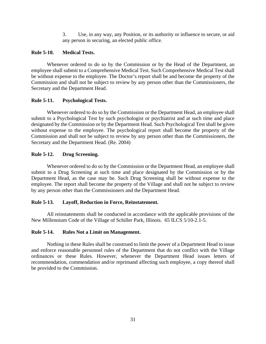3. Use, in any way, any Position, or its authority or influence to secure, or aid any person in securing, an elected public office.

#### **Rule 5-10. Medical Tests.**

Whenever ordered to do so by the Commission or by the Head of the Department, an employee shall submit to a Comprehensive Medical Test. Such Comprehensive Medical Test shall be without expense to the employee. The Doctor's report shall be and become the property of the Commission and shall not be subject to review by any person other than the Commissioners, the Secretary and the Department Head.

#### **Rule 5-11. Psychological Tests.**

Whenever ordered to do so by the Commission or the Department Head, an employee shall submit to a Psychological Test by such psychologist or psychiatrist and at such time and place designated by the Commission or by the Department Head. Such Psychological Test shall be given without expense to the employee. The psychological report shall become the property of the Commission and shall not be subject to review by any person other than the Commissioners, the Secretary and the Department Head. (Re. 2004)

#### **Rule 5-12. Drug Screening.**

Whenever ordered to do so by the Commission or the Department Head, an employee shall submit to a Drug Screening at such time and place designated by the Commission or by the Department Head, as the case may be. Such Drug Screening shall be without expense to the employee. The report shall become the property of the Village and shall not be subject to review by any person other than the Commissioners and the Department Head.

#### **Rule 5-13. Layoff, Reduction in Force, Reinstatement.**

All reinstatements shall be conducted in accordance with the applicable provisions of the New Millennium Code of the Village of Schiller Park, Illinois. 65 ILCS 5/10-2.1-5.

#### **Rule 5-14. Rules Not a Limit on Management.**

Nothing in these Rules shall be construed to limit the power of a Department Head to issue and enforce reasonable personnel rules of the Department that do not conflict with the Village ordinances or these Rules. However, whenever the Department Head issues letters of recommendation, commendation and/or reprimand affecting such employee, a copy thereof shall be provided to the Commission.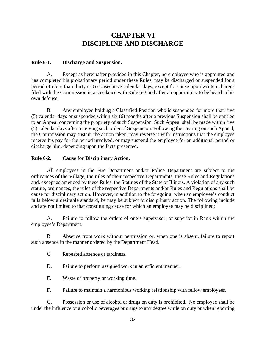## **CHAPTER VI DISCIPLINE AND DISCHARGE**

#### **Rule 6-1. Discharge and Suspension.**

A. Except as hereinafter provided in this Chapter, no employee who is appointed and has completed his probationary period under these Rules, may be discharged or suspended for a period of more than thirty (30) consecutive calendar days, except for cause upon written charges filed with the Commission in accordance with Rule 6-3 and after an opportunity to be heard in his own defense.

B. Any employee holding a Classified Position who is suspended for more than five (5) calendar days or suspended within six (6) months after a previous Suspension shall be entitled to an Appeal concerning the propriety of such Suspension. Such Appeal shall be made within five (5) calendar days after receiving such order of Suspension. Following the Hearing on such Appeal, the Commission may sustain the action taken, may reverse it with instructions that the employee receive his pay for the period involved, or may suspend the employee for an additional period or discharge him, depending upon the facts presented.

#### **Rule 6-2. Cause for Disciplinary Action.**

All employees in the Fire Department and/or Police Department are subject to the ordinances of the Village, the rules of their respective Departments, these Rules and Regulations and, except as amended by these Rules, the Statutes of the State of Illinois. A violation of any such statute, ordinances, the rules of the respective Departments and/or Rules and Regulations shall be cause for disciplinary action. However, in addition to the foregoing, when an employee's conduct falls below a desirable standard, he may be subject to disciplinary action. The following include and are not limited to that constituting cause for which an employee may be disciplined:

A. Failure to follow the orders of one's supervisor, or superior in Rank within the employee's Department.

B. Absence from work without permission or, when one is absent, failure to report such absence in the manner ordered by the Department Head.

- C. Repeated absence or tardiness.
- D. Failure to perform assigned work in an efficient manner.
- E. Waste of property or working time.
- F. Failure to maintain a harmonious working relationship with fellow employees.

G. Possession or use of alcohol or drugs on duty is prohibited. No employee shall be under the influence of alcoholic beverages or drugs to any degree while on duty or when reporting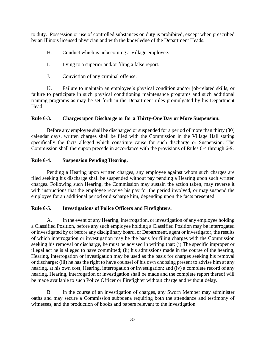to duty. Possession or use of controlled substances on duty is prohibited, except when prescribed by an Illinois licensed physician and with the knowledge of the Department Heads.

- H. Conduct which is unbecoming a Village employee.
- I. Lying to a superior and/or filing a false report.
- J. Conviction of any criminal offense.

K. Failure to maintain an employee's physical condition and/or job-related skills, or failure to participate in such physical conditioning maintenance programs and such additional training programs as may be set forth in the Department rules promulgated by his Department Head.

#### **Rule 6-3. Charges upon Discharge or for a Thirty-One Day or More Suspension.**

Before any employee shall be discharged or suspended for a period of more than thirty (30) calendar days, written charges shall be filed with the Commission in the Village Hall stating specifically the facts alleged which constitute cause for such discharge or Suspension. The Commission shall thereupon precede in accordance with the provisions of Rules 6-4 through 6-9.

#### **Rule 6-4. Suspension Pending Hearing.**

Pending a Hearing upon written charges, any employee against whom such charges are filed seeking his discharge shall be suspended without pay pending a Hearing upon such written charges. Following such Hearing, the Commission may sustain the action taken, may reverse it with instructions that the employee receive his pay for the period involved, or may suspend the employee for an additional period or discharge him, depending upon the facts presented.

#### **Rule 6-5. Investigations of Police Officers and Firefighters.**

A. In the event of any Hearing, interrogation, or investigation of any employee holding a Classified Position, before any such employee holding a Classified Position may be interrogated or investigated by or before any disciplinary board, or Department, agent or investigator, the results of which interrogation or investigation may be the basis for filing charges with the Commission seeking his removal or discharge, he must be advised in writing that: (i) The specific improper or illegal act he is alleged to have committed; (ii) his admissions made in the course of the hearing, Hearing, interrogation or investigation may be used as the basis for charges seeking his removal or discharge; (iii) he has the right to have counsel of his own choosing present to advise him at any hearing, at his own cost, Hearing, interrogation or investigation; and (iv) a complete record of any hearing, Hearing, interrogation or investigation shall be made and the complete report thereof will be made available to such Police Officer or Firefighter without charge and without delay.

B. In the course of an investigation of charges, any Sworn Member may administer oaths and may secure a Commission subpoena requiring both the attendance and testimony of witnesses, and the production of books and papers relevant to the investigation.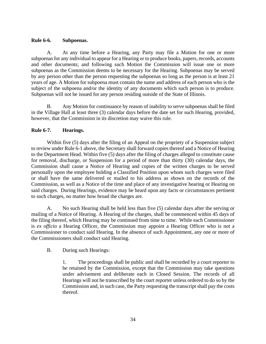#### **Rule 6-6. Subpoenas.**

A. At any time before a Hearing, any Party may file a Motion for one or more subpoenas for any individual to appear for a Hearing or to produce books, papers, records, accounts and other documents; and following such Motion the Commission will issue one or more subpoenas as the Commission deems to be necessary for the Hearing. Subpoenas may be served by any person other than the person requesting the subpoenas so long as the person is at least 21 years of age. A Motion for subpoena must contain the name and address of each person who is the subject of the subpoena and/or the identity of any documents which such person is to produce. Subpoenas will not be issued for any person residing outside of the State of Illinois.

B. Any Motion for continuance by reason of inability to serve subpoenas shall be filed in the Village Hall at least three (3) calendar days before the date set for such Hearing, provided, however, that the Commission in its discretion may waive this rule.

#### **Rule 6-7. Hearings.**

Within five (5) days after the filing of an Appeal on the propriety of a Suspension subject to review under Rule 6-1 above, the Secretary shall forward copies thereof and a Notice of Hearing to the Department Head. Within five (5) days after the filing of charges alleged to constitute cause for removal, discharge, or Suspension for a period of more than thirty (30) calendar days, the Commission shall cause a Notice of Hearing and copies of the written charges to be served personally upon the employee holding a Classified Position upon whom such charges were filed or shall have the same delivered or mailed to his address as shown on the records of the Commission, as well as a Notice of the time and place of any investigative hearing or Hearing on said charges. During Hearings, evidence may be heard upon any facts or circumstances pertinent to such charges, no matter how broad the charges are.

A. No such Hearing shall be held less than five (5) calendar days after the serving or mailing of a Notice of Hearing. A Hearing of the charges, shall be commenced within 45 days of the filing thereof, which Hearing may be continued from time to time. While each Commissioner is *ex officio* a Hearing Officer, the Commission may appoint a Hearing Officer who is not a Commissioner to conduct said Hearing. In the absence of such Appointment, any one or more of the Commissioners shall conduct said Hearing.

#### B. During such Hearings:

1. The proceedings shall be public and shall be recorded by a court reporter to be retained by the Commission, except that the Commission may take questions under advisement and deliberate each in Closed Session. The records of all Hearings will not be transcribed by the court reporter unless ordered to do so by the Commission and, in such case, the Party requesting the transcript shall pay the costs thereof.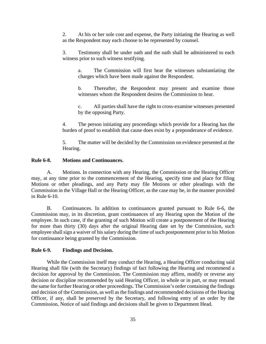2. At his or her sole cost and expense, the Party initiating the Hearing as well as the Respondent may each choose to be represented by counsel.

3. Testimony shall be under oath and the oath shall be administered to each witness prior to such witness testifying.

a. The Commission will first hear the witnesses substantiating the charges which have been made against the Respondent.

b. Thereafter, the Respondent may present and examine those witnesses whom the Respondent desires the Commission to hear.

c. All parties shall have the right to cross-examine witnesses presented by the opposing Party.

4. The person initiating any proceedings which provide for a Hearing has the burden of proof to establish that cause does exist by a preponderance of evidence.

5. The matter will be decided by the Commission on evidence presented at the Hearing.

#### **Rule 6-8. Motions and Continuances.**

A. Motions. In connection with any Hearing, the Commission or the Hearing Officer may, at any time prior to the commencement of the Hearing, specify time and place for filing Motions or other pleadings, and any Party may file Motions or other pleadings with the Commission in the Village Hall or the Hearing Officer, as the case may be, in the manner provided in Rule 6-10.

B. Continuances. In addition to continuances granted pursuant to Rule 6-6, the Commission may, in its discretion, grant continuances of any Hearing upon the Motion of the employee. In such case, if the granting of such Motion will create a postponement of the Hearing for more than thirty (30) days after the original Hearing date set by the Commission, such employee shall sign a waiver of his salary during the time of such postponement prior to his Motion for continuance being granted by the Commission.

#### **Rule 6-9. Findings and Decision.**

While the Commission itself may conduct the Hearing, a Hearing Officer conducting said Hearing shall file (with the Secretary) findings of fact following the Hearing and recommend a decision for approval by the Commission. The Commission may affirm, modify or reverse any decision or discipline recommended by said Hearing Officer, in whole or in part, or may remand the same for further Hearing or other proceedings. The Commission's order containing the findings and decision of the Commission, as well as the findings and recommended decisions of the Hearing Officer, if any, shall be preserved by the Secretary, and following entry of an order by the Commission, Notice of said findings and decisions shall be given to Department Head.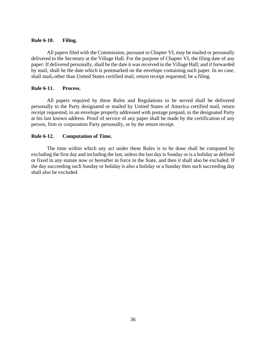#### **Rule 6-10. Filing.**

All papers filed with the Commission, pursuant to Chapter VI, may be mailed or personally delivered to the Secretary at the Village Hall. For the purpose of Chapter VI, the filing date of any paper: If delivered personally, shall be the date it was received in the Village Hall; and if forwarded by mail, shall be the date which is postmarked on the envelope containing such paper. In no case, shall mail, other than United States certified mail, return receipt requested, be a filing.

#### **Rule 6-11. Process.**

All papers required by these Rules and Regulations to be served shall be delivered personally to the Party designated or mailed by United States of America certified mail, return receipt requested, in an envelope properly addressed with postage prepaid, to the designated Party at his last known address. Proof of service of any paper shall be made by the certification of any person, firm or corporation Party personally, or by the return receipt.

#### **Rule 6-12. Computation of Time.**

The time within which any act under these Rules is to be done shall be computed by excluding the first day and including the last, unless the last day is Sunday or is a holiday as defined or fixed in any statute now or hereafter in force in the State, and then it shall also be excluded. If the day succeeding such Sunday or holiday is also a holiday or a Sunday then such succeeding day shall also be excluded.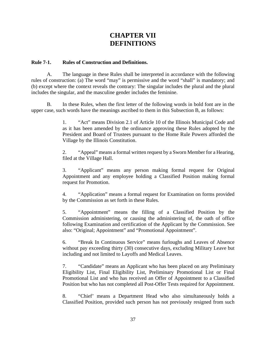## **CHAPTER VII DEFINITIONS**

#### **Rule 7-1. Rules of Construction and Definitions.**

A. The language in these Rules shall be interpreted in accordance with the following rules of construction: (a) The word "may" is permissive and the word "shall" is mandatory; and (b) except where the context reveals the contrary: The singular includes the plural and the plural includes the singular, and the masculine gender includes the feminine.

B. In these Rules, when the first letter of the following words in bold font are in the upper case, such words have the meanings ascribed to them in this Subsection B, as follows:

> 1. "Act" means Division 2.1 of Article 10 of the Illinois Municipal Code and as it has been amended by the ordinance approving these Rules adopted by the President and Board of Trustees pursuant to the Home Rule Powers afforded the Village by the Illinois Constitution.

> 2. "Appeal" means a formal written request by a Sworn Member for a Hearing, filed at the Village Hall.

> 3. "Applicant" means any person making formal request for Original Appointment and any employee holding a Classified Position making formal request for Promotion.

> 4. "Application" means a formal request for Examination on forms provided by the Commission as set forth in these Rules.

> 5. "Appointment" means the filling of a Classified Position by the Commission administering, or causing the administering of, the oath of office following Examination and certification of the Applicant by the Commission. See also: "Original; Appointment" and "Promotional Appointment".

> 6. "Break In Continuous Service" means furloughs and Leaves of Absence without pay exceeding thirty (30) consecutive days, excluding Military Leave but including and not limited to Layoffs and Medical Leaves.

> 7. "Candidate" means an Applicant who has been placed on any Preliminary Eligibility List, Final Eligibility List, Preliminary Promotional List or Final Promotional List and who has received an Offer of Appointment to a Classified Position but who has not completed all Post-Offer Tests required for Appointment.

> 8. "Chief' means a Department Head who also simultaneously holds a Classified Position, provided such person has not previously resigned from such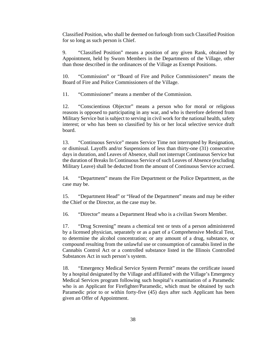Classified Position, who shall be deemed on furlough from such Classified Position for so long as such person is Chief.

9. "Classified Position" means a position of any given Rank, obtained by Appointment, held by Sworn Members in the Departments of the Village, other than those described in the ordinances of the Village as Exempt Positions.

10. "Commission" or "Board of Fire and Police Commissioners" means the Board of Fire and Police Commissioners of the Village.

11. "Commissioner" means a member of the Commission.

12. "Conscientious Objector" means a person who for moral or religious reasons is opposed to participating in any war, and who is therefore deferred from Military Service but is subject to serving in civil work for the national health, safety interest; or who has been so classified by his or her local selective service draft board.

13. "Continuous Service" means Service Time not interrupted by Resignation, or dismissal. Layoffs and/or Suspensions of less than thirty-one (31) consecutive days in duration, and Leaves of Absence, shall not interrupt Continuous Service but the duration of Breaks In Continuous Service of such Leaves of Absence (excluding Military Leave) shall be deducted from the amount of Continuous Service accrued.

14. "Department" means the Fire Department or the Police Department, as the case may be.

15. "Department Head" or "Head of the Department" means and may be either the Chief or the Director, as the case may be.

16. "Director" means a Department Head who is a civilian Sworn Member.

17. "Drug Screening" means a chemical test or tests of a person administered by a licensed physician, separately or as a part of a Comprehensive Medical Test, to determine the alcohol concentration; or any amount of a drug, substance, or compound resulting from the unlawful use or consumption of cannabis listed in the Cannabis Control Act or a controlled substance listed in the Illinois Controlled Substances Act in such person's system.

18. "Emergency Medical Service System Permit" means the certificate issued by a hospital designated by the Village and affiliated with the Village's Emergency Medical Services program following such hospital's examination of a Paramedic who is an Applicant for Firefighter/Paramedic, which must be obtained by such Paramedic prior to or within forty-five (45) days after such Applicant has been given an Offer of Appointment.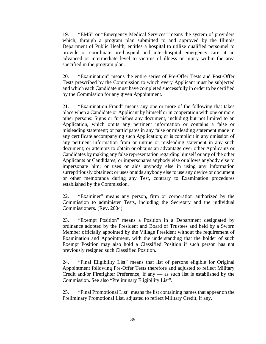19. "EMS" or "Emergency Medical Services" means the system of providers which, through a program plan submitted to and approved by the Illinois Department of Public Health, entitles a hospital to utilize qualified personnel to provide or coordinate pre-hospital and inter-hospital emergency care at an advanced or intermediate level to victims of illness or injury within the area specified in the program plan.

20. "Examination" means the entire series of Pre-Offer Tests and Post-Offer Tests prescribed by the Commission to which every Applicant must be subjected and which each Candidate must have completed successfully in order to be certified by the Commission for any given Appointment.

21. "Examination Fraud" means any one or more of the following that takes place when a Candidate or Applicant by himself or in cooperation with one or more other persons: Signs or furnishes any document, including but not limited to an Application, which omits any pertinent information or contains a false or misleading statement; or participates in any false or misleading statement made in any certificate accompanying such Application; or is complicit in any omission of any pertinent information from or untrue or misleading statement in any such document; or attempts to obtain or obtains an advantage over other Applicants or Candidates by making any false representation regarding himself or any of the other Applicants or Candidates; or impersonates anybody else or allows anybody else to impersonate him; or uses or aids anybody else in using any information surreptitiously obtained; or uses or aids anybody else to use any device or document or other memoranda during any Test, contrary to Examination procedures established by the Commission.

22. "Examiner" means any person, firm or corporation authorized by the Commission to administer Tests, including the Secretary and the individual Commissioners. (Rev. 2004).

23. "Exempt Position" means a Position in a Department designated by ordinance adopted by the President and Board of Trustees and held by a Sworn Member officially appointed by the Village President without the requirement of Examination and Appointment, with the understanding that the holder of such Exempt Position may also hold a Classified Position if such person has not previously resigned such Classified Position.

24. "Final Eligibility List" means that list of persons eligible for Original Appointment following Pre-Offer Tests therefore and adjusted to reflect Military Credit and/or Firefighter Preference, if any — as such list is established by the Commission. See also "Preliminary Eligibility List".

25. "Final Promotional List" means the list containing names that appear on the Preliminary Promotional List, adjusted to reflect Military Credit, if any.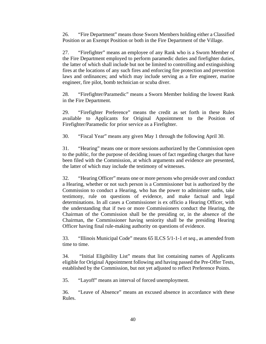26. "Fire Department" means those Sworn Members holding either a Classified Position or an Exempt Position or both in the Fire Department of the Village.

27. "Firefighter" means an employee of any Rank who is a Sworn Member of the Fire Department employed to perform paramedic duties and firefighter duties, the latter of which shall include but not be limited to controlling and extinguishing fires at the locations of any such fires and enforcing fire protection and prevention laws and ordinances; and which may include serving as a fire engineer, marine engineer, fire pilot, bomb technician or scuba diver.

28. "Firefighter/Paramedic" means a Sworn Member holding the lowest Rank in the Fire Department.

29. "Firefighter Preference" means the credit as set forth in these Rules available to Applicants for Original Appointment to the Position of Firefighter/Paramedic for prior service as a Firefighter.

30. "Fiscal Year" means any given May 1 through the following April 30.

31. "Hearing" means one or more sessions authorized by the Commission open to the public, for the purpose of deciding issues of fact regarding charges that have been filed with the Commission, at which arguments and evidence are presented, the latter of which may include the testimony of witnesses.

32. "Hearing Officer" means one or more persons who preside over and conduct a Hearing, whether or not such person is a Commissioner but is authorized by the Commission to conduct a Hearing, who has the power to administer oaths, take testimony, rule on questions of evidence, and make factual and legal determinations. In all cases a Commissioner is ex officio a Hearing Officer, with the understanding that if two or more Commissioners conduct the Hearing, the Chairman of the Commission shall be the presiding or, in the absence of the Chairman, the Commissioner having seniority shall be the presiding Hearing Officer having final rule-making authority on questions of evidence.

33. "Illinois Municipal Code" means 65 ILCS 5/1-1-1 *et seq*., as amended from time to time.

34. "Initial Eligibility List" means that list containing names of Applicants eligible for Original Appointment following and having passed the Pre-Offer Tests, established by the Commission, but not yet adjusted to reflect Preference Points.

35. "Layoff" means an interval of forced unemployment.

36. "Leave of Absence" means an excused absence in accordance with these Rules.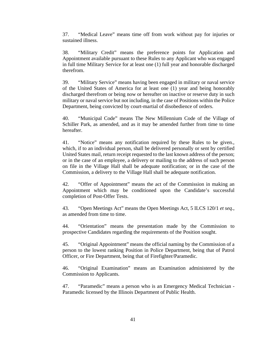37. "Medical Leave" means time off from work without pay for injuries or sustained illness.

38. "Military Credit" means the preference points for Application and Appointment available pursuant to these Rules to any Applicant who was engaged in full time Military Service for at least one (1) full year and honorable discharged therefrom.

39. "Military Service" means having been engaged in military or naval service of the United States of America for at least one (1) year and being honorably discharged therefrom or being now or hereafter on inactive or reserve duty in such military or naval service but not including, in the case of Positions within the Police Department, being convicted by court-martial of disobedience of orders.

40. "Municipal Code" means The New Millennium Code of the Village of Schiller Park, as amended, and as it may be amended further from time to time hereafter.

41. "Notice" means any notification required by these Rules to be given., which, if to an individual person, shall be delivered personally or sent by certified United States mail, return receipt requested to the last known address of the person; or in the case of an employee, a delivery or mailing to the address of such person on file in the Village Hall shall be adequate notification; or in the case of the Commission, a delivery to the Village Hall shall be adequate notification.

42. "Offer of Appointment" means the act of the Commission in making an Appointment which may be conditioned upon the Candidate's successful completion of Post-Offer Tests.

43. "Open Meetings Act" means the Open Meetings Act, 5 ILCS 120/1 *et seq*., as amended from time to time.

44. "Orientation" means the presentation made by the Commission to prospective Candidates regarding the requirements of the Position sought.

45. "Original Appointment" means the official naming by the Commission of a person to the lowest ranking Position in Police Department, being that of Patrol Officer, or Fire Department, being that of Firefighter/Paramedic.

46. "Original Examination" means an Examination administered by the Commission to Applicants.

47. "Paramedic" means a person who is an Emergency Medical Technician - Paramedic licensed by the Illinois Department of Public Health.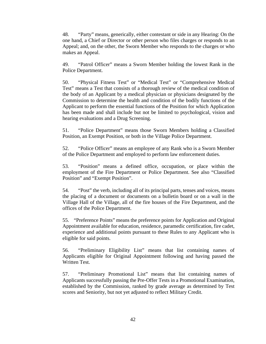48. "Party" means, generically, either contestant or side in any Hearing: On the one hand, a Chief or Director or other person who files charges or responds to an Appeal; and, on the other, the Sworn Member who responds to the charges or who makes an Appeal.

49. "Patrol Officer" means a Sworn Member holding the lowest Rank in the Police Department.

50. "Physical Fitness Test" or "Medical Test" or "Comprehensive Medical Test" means a Test that consists of a thorough review of the medical condition of the body of an Applicant by a medical physician or physicians designated by the Commission to determine the health and condition of the bodily functions of the Applicant to perform the essential functions of the Position for which Application has been made and shall include but not be limited to psychological, vision and hearing evaluations and a Drug Screening.

51. "Police Department" means those Sworn Members holding a Classified Position, an Exempt Position, or both in the Village Police Department.

52. "Police Officer" means an employee of any Rank who is a Sworn Member of the Police Department and employed to perform law enforcement duties.

53. "Position" means a defined office, occupation, or place within the employment of the Fire Department or Police Department. See also "Classified Position" and "Exempt Position".

54. "Post" the verb, including all of its principal parts, tenses and voices, means the placing of a document or documents on a bulletin board or on a wall in the Village Hall of the Village, all of the fire houses of the Fire Department, and the offices of the Police Department.

55. "Preference Points" means the preference points for Application and Original Appointment available for education, residence, paramedic certification, fire cadet, experience and additional points pursuant to these Rules to any Applicant who is eligible for said points.

56. "Preliminary Eligibility List" means that list containing names of Applicants eligible for Original Appointment following and having passed the Written Test.

57. "Preliminary Promotional List" means that list containing names of Applicants successfully passing the Pre-Offer Tests in a Promotional Examination, established by the Commission, ranked by grade average as determined by Test scores and Seniority, but not yet adjusted to reflect Military Credit.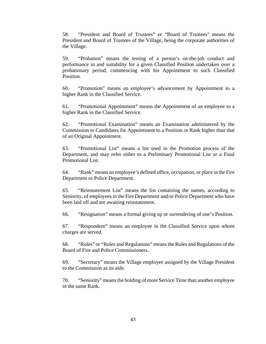58. "President and Board of Trustees" or "Board of Trustees" means the President and Board of Trustees of the Village, being the corporate authorities of the Village.

59. "Probation" means the testing of a person's on-the-job conduct and performance in and suitability for a given Classified Position undertaken over a probationary period, commencing with his Appointment to such Classified Position.

60. "Promotion" means an employee's advancement by Appointment to a higher Rank in the Classified Service.

61. "Promotional Appointment" means the Appointment of an employee to a higher Rank in the Classified Service.

62. "Promotional Examination" means an Examination administered by the Commission to Candidates for Appointment to a Position or Rank higher than that of an Original Appointment.

63. "Promotional List" means a list used in the Promotion process of the Department, and may refer either to a Preliminary Promotional List or a Final Promotional List.

64. "Rank" means an employee's defined office, occupation, or place in the Fire Department or Police Department.

65. "Reinstatement List" means the list containing the names, according to Seniority, of employees in the Fire Department and/or Police Department who have been laid off and are awaiting reinstatement.

66. "Resignation" means a formal giving up or surrendering of one's Position.

67. "Respondent" means an employee in the Classified Service upon whom charges are served.

68. "Rules" or "Rules and Regulations" means the Rules and Regulations of the Board of Fire and Police Commissioners.

69. "Secretary" means the Village employee assigned by the Village President to the Commission as its aide.

70. "Seniority" means the holding of more Service Time than another employee in the same Rank.